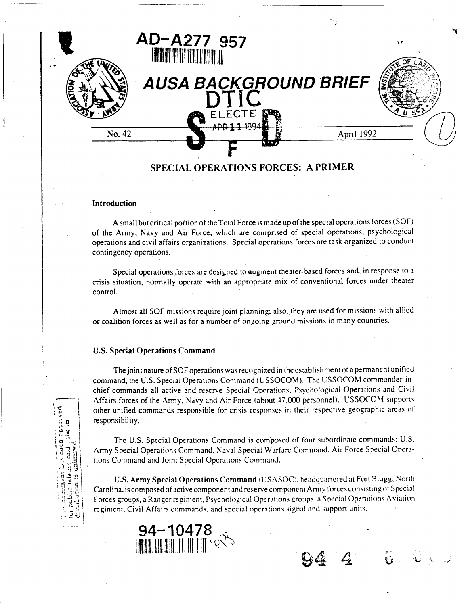

#### Introduction

A small but critical portion of the Total Force is made up of the special operations forces (SOF) of the Army, Navy and Air Force, which are comprised of special operations, psychological operations and civil affairs organizations. Special operations forces are task organized to conduct contingency operations.

Special operations forces are designed to augment theater-based forces and, in response to a crisis situation, normally operate with an appropriate mix of conventional forces under theater control.

Almost all SOF missions require joint planning; also, they are used for missions with allied or coalition forces as well as for a number of ongoing ground missions in many countries.

# **U.S. Special Operations Command**

The joint nature of SOF operations was recognized in the establishment of a permanent unified command, the U.S. Special Operations Command (USSOCOM). The USSOCOM commander-inchief commands all active and reserve Special Operations, Psychological Operations and Civil Affairs forces of the Army, Navy and Air Force (about 47,000 personnel). USSOCOM supports other unified commands responsible for crisis responses in their respective geographic areas of responsibility.

The U.S. Special Operations Command is composed of four subordinate commands: U.S. Army Special Operations Command, Naval Special Warfare Command, Air Force Special Operations Command and Joint Special Operations Command.

U.S. Army Special Operations Command (USASOC), headquartered at Fort Bragg, North Carolina, is composed of active component and reserve component Army forces consisting of Special Forces groups, a Ranger regiment, Psychological Operations groups, a Special Operations Aviation regiment, Civil Affairs commands, and special operations signal and support units.

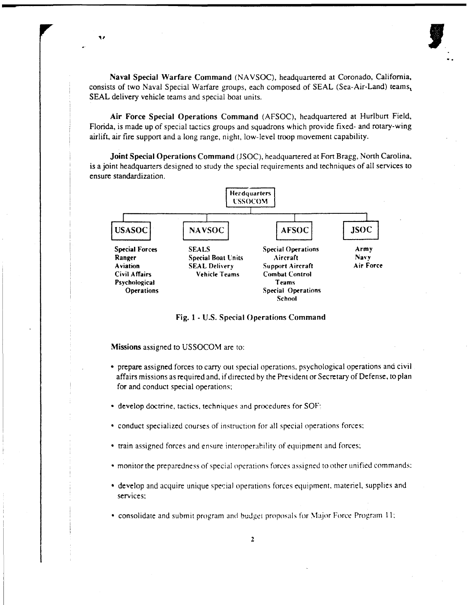**Naval Special Warfare Command** (NAVSOC), headquartered at Coronado, California, consists of two Naval Special Warfare groups, each composed of SEAL (Sea-Air-Land) teams, SEAL delivery vehicle teams and special boat units.

**Air Force Special Operations Command** (AFSOC), headquartered at Hurlbun Field, Florida, is made up of special tactics groups and squadrons which provide fixed- and rotary-wing airlift, air fire support and a long range, night, low-level troop movement capability.

**Joint Special Operations Command** (JSOC), headquartered at FOR Bragg, North Carolina, is a joint headquarters designed to study the special requirements and techniques of all services to ensure standardizaticn.



**Fig. 1** - **US. Special Operations Command** 

**Missions** assigned to USSOCOM are to:

٠,

- prepare assigned forces to carry out special operations. psychological operations and civil affairs missions as required and, if directed by the President or Secretary of Defense, to plan for and conduct special operations;
- develop doctrine. tactics. techniques and procedures for SOF:
- conduct specialized courses of instruction for all special operations forces;
- train assigned forces and ensure interoperability of equipment and forces;
- monitor the preparedness of special opcrntions forces assigned to othcr unified commands:
- develop and acquire unique special operations forces equipment, materiel, supplies and services:
- $\bullet$  consolidate and submit program and budget proposals for Major Force Program 11;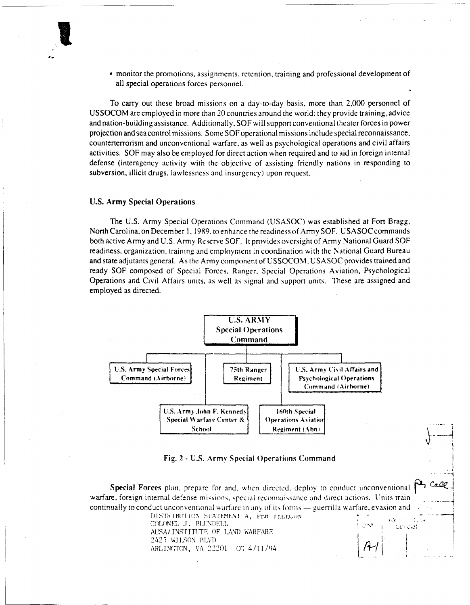monitor the promotions, assignments, retention, training and professional development of all special operations forces personnel.

To carry out these broad missions on a day-to-day basis. more than 2,000 personnel of USSOCOM are employed in more than 20countnes around the world; they provide training, advice and nation-building assistance. Additionally, SOF will support conventional theater forces in power projection andsea control missions. Some SOFoperational missions include special reconnaissance, counterterrorism and unconventional warfare, as well as psychological operations and civil affairs activities. SOF may also be employed for direct action when required and to aid in foreign internal defense (interagency activity with the objective of assisting friendly nations in responding to subversion, illicit drugs, lawlessness and insurgency) upon request.

### **U.S. Army Special Operations**

The U.S. Army Special Operations Command (USASOC) was established at Fort Bragg. North Carolina, on December 1, 1989. to enhance the readiness of Army SOF. USASOC commands both active Army and U.S. Army Reserve SOF. It provides oversight of Army National Guard SOF readiness, organization, training and employment in coordination with the National Guard Bureau and state adjutants general. As the Army component of USSOCOM, USASOC provides trained and ready SOF composed of Special Forces, Ranger, Special Operations Aviation, Psychological Operations and Civil Affairs units, as well as signal and support units. These are assigned and employed as directed.



I

### **Fig. 2 - U.S. Army Special Operations Command**

**Special Forces** plan, prepare for and, when directed, deploy to conduct unconventional **P** call warfare, foreign internal defense missions, special reconnaissance and direct actions. Units train continually to conduct unconventional warfare in any of its forms --- guerrilla warfare, evasion and<br>DISTRIBUTION STATEMENT A, PER TELECON<br>COLONEL J. BLONDELL<br>COLONEL J. BLONDELL

AUSA/INSTITUTE OF LAND WARFARE DISTRIBUTION STATEMENT A, PER LELECON<br>COLONEL J. BLUNDELL<br>AUSA/INSTITUTE OF LAND WARFARE 2425 WILSON BLVD<br>ARLINGTON, VA 22201 - CG 4/11/94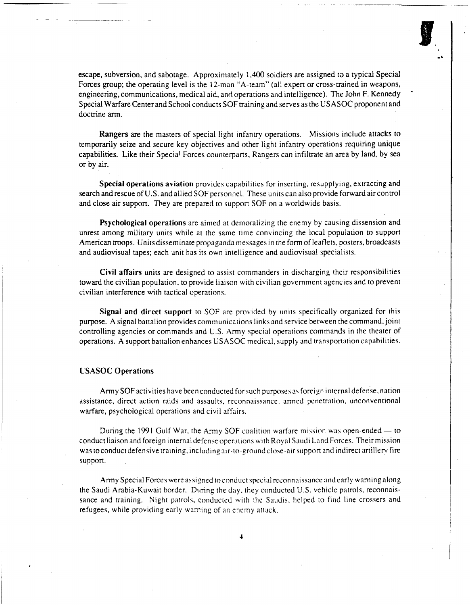escape, subversion, and sabotage. Approximately 1,400 soldiers are assigned to a typical Special Forces group; the operating level is the 12-man "A-team" (all expert or cross-trained in weapons, engineering, communications, medical aid, and operations and intelligence). The John F. Kennedy Special Warfare Center and School conducts SOF training and serves as the USASOC proponent and doctrine arm.

**Rangers** are the masters of special light infantry operations. Missions include attacks to temporarily seize and secure key objectives and other light infantry operations requiring unique capabilities. Like their Special Forces counterparts, Rangers can infiltrate an area by land, by sea or by air.

**Special operations aviation** provides capabilities for inserting, resupplying, extracting and search and rescue of U.S. and allied SOF personnel. These anits can also provide forward air control and close air support. They are prepared to support SOF on a worldwide basis.

**Psychological operations** are aimed at demoralizing the enemy by causing dissension and unrest among military units while at the same time convincing the local population to support American mops. Units disseminate propaganda messages in the form of leaflets, posters, broadcasts and audiovisual tapes; each unit has its own intelligence and audiovisual specialists.

**Civil affairs** units are designed to assist commanders in discharging their responsibilities toward the civilian population, to provide liaison with civilian government agencies and to prevent civilian interference with tactical operations.

**Signal and direct support** to SOF are provided by units specitically organized for this purpose. **A** signal battalion provides communications links and service between the command, joint controlling agencies or commands and **U.S.** Army special operations commands in the theater of operations. **A** support battalion enhances USASOC medical, supply and wansportation capabilities.

## **USASOC Operations**

Army SOF activities have been conducted for such purposes as foreign internal defense, nation assistance, direct action raids and assaults, reconnaissance, anned penetration, unconventional warfare, psychological operations and civil affairs.

During the 1991 Gulf War, the Army SOF coalition warfare mission was open-ended  $-$  to conduct liaison and foreign internal defense operations with Royal Saudi Land Forces. Their mission was to conduct defensive training, including air-to-ground close-air support and indirect artillery fire support.

Army Special Forces were assigned to conduct special reconnaissance and early warning along the Saudi Arabia-Kuwait border. During the day, they conducted U.S. vehicle patrols, reconnaissance and training. Night patrols, conducted with the Saudis, helped to find line crossers and refugees, while providing early warning of an enemy attack.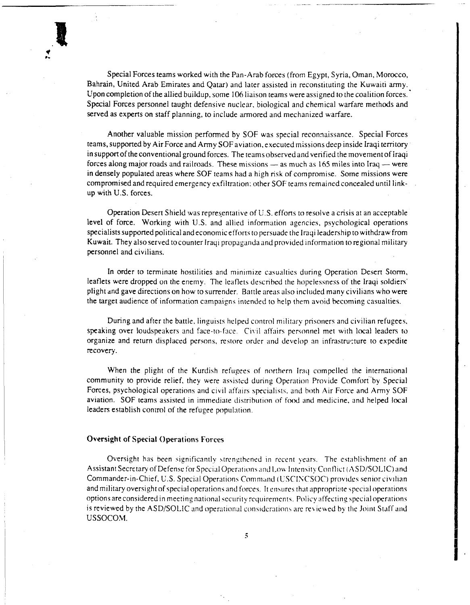Special Forces teams worked with the Pan-Arab forces (from Egypt, Syria, Oman, Morocco, Bahrain, United Arab Emirates and Qatar) and later assisted in reconstituting the Kuwaiti army. Upon completion of the allied buildup, some 106 liaison teams were assigned to the coalition forces. ' Special Forces personnel taught defensive nuclear, biological and chemical warfare methods and served as experts on staff planning, to include armored and mechanized warfare.

Another valuable mission performed by SOF was special reconnaissance. Special Forces teams, supported by Air Force and Army SOFaviation, executed missions deep inside Iraqi temtory in support of the conventional ground forces. The teams observedand verified the movement of Iraqi feams, supported by Air Force and Army SOF aviation, executed missions deep inside Iraqi territory<br>in support of the conventional ground forces. The teams observed and verified the movement of Iraqi<br>forces along major road in densely populated areas where SOF teams had a high risk of compromise. Some missions were compromised and required emergency exfiltration: other SOF teams remained concealed until linkup with U.S. forces.

Operation Desert Shield was repres,entative of U.S. efforts to resolve a crisis at an acceptable level of force. Working with **U.S.** and allied information agencies, psychological operations specialists supponed political and economic effons to persuade the lraqi leadership to withdraw from Kuwait. They alsoserved tocounter Iraqi propaganda and provided information to regional military personnel and civilians.

In order to terminate hostilities and minimize casualties during Operation Desert Storm, leaflets were dropped on the enemy. The leaflets described the hopelessness of the Iraqi soldiers' plight and gave directions on how to surrender. Battle areas also included many civilians who were the target audience of information campaigns intended to help them avoid becoming casualties.

During and after the battle. linguists helped control military prisoners and civilian refugees, speaking over loudspeakers and face-to-face. Civil affairs personnel met with local leaders to organize and return displaced persons, restore order and develop an infrastructure to expedite recovery.

When the plight of the Kurdish refugees of northern Iraq compelled the international community to provide relief, they were assisted during Operation Provide Comfort by Special Forces, psychological operations and civil affairs >pecialists. arid both Air Force and **Army** SOF aviation. SOF teams assisted in immediate distribution of food and medicine, and helped local leaders establish control of the refugee population.

## **Oversight of Special Operations Forces**

Oversight has been significantly strengthened in recent years. The establishment of an Assistant Secretary of Defense for Special Operations and Low Intensity Conflict (ASD/SOLIC) and Commander-in-Chief, U.S. Special Operations Command (USCINCSOC) provides senior civilian and military oversight of special operations and forces. It ensures that appropriate special operations options are considered in meeting national security requirements. Policy affecting special operations is reviewed by the ASD/SOLIC and operational considerations are reviewed by the Joint Staff and USSOCOM.

 $\ddot{\phantom{0}}$